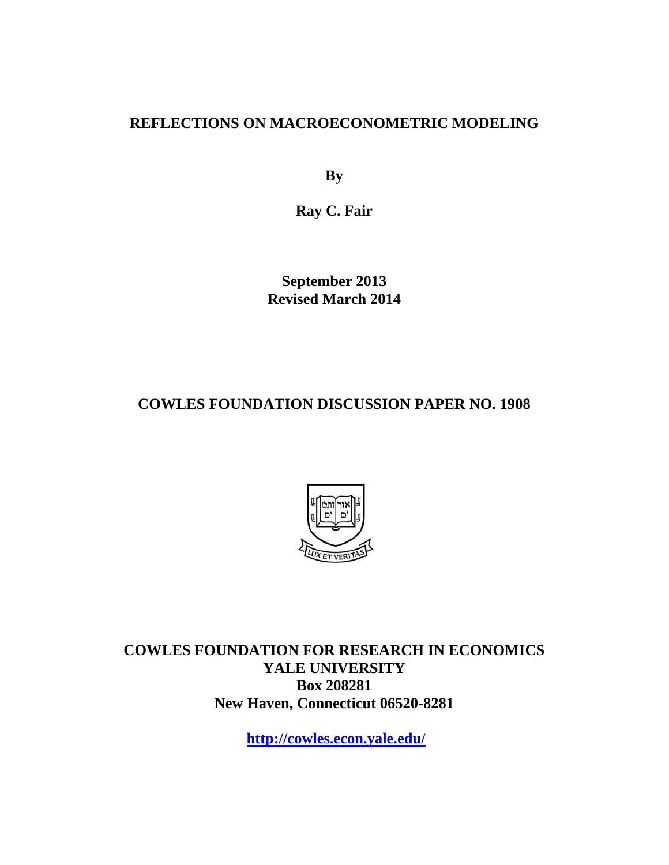### **REFLECTIONS ON MACROECONOMETRIC MODELING**

**By** 

**Ray C. Fair** 

**September 2013 Revised March 2014** 

**COWLES FOUNDATION DISCUSSION PAPER NO. 1908** 



**COWLES FOUNDATION FOR RESEARCH IN ECONOMICS YALE UNIVERSITY Box 208281 New Haven, Connecticut 06520-8281** 

**http://cowles.econ.yale.edu/**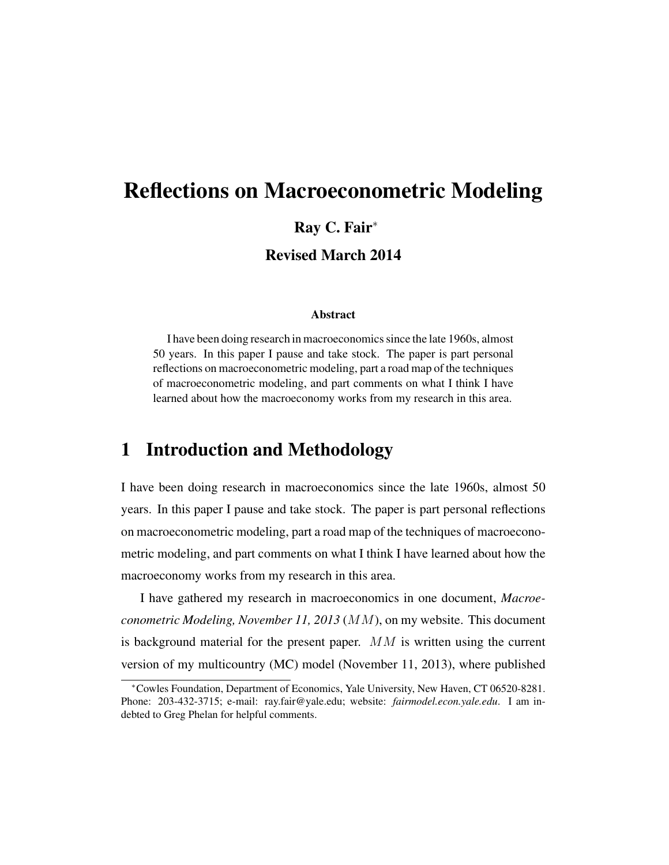# Reflections on Macroeconometric Modeling Ray C. Fair<sup>∗</sup> Revised March 2014

#### Abstract

I have been doing research in macroeconomics since the late 1960s, almost 50 years. In this paper I pause and take stock. The paper is part personal reflections on macroeconometric modeling, part a road map of the techniques of macroeconometric modeling, and part comments on what I think I have learned about how the macroeconomy works from my research in this area.

### 1 Introduction and Methodology

I have been doing research in macroeconomics since the late 1960s, almost 50 years. In this paper I pause and take stock. The paper is part personal reflections on macroeconometric modeling, part a road map of the techniques of macroeconometric modeling, and part comments on what I think I have learned about how the macroeconomy works from my research in this area.

I have gathered my research in macroeconomics in one document, *Macroeconometric Modeling, November 11, 2013* (MM), on my website. This document is background material for the present paper.  $MM$  is written using the current version of my multicountry (MC) model (November 11, 2013), where published

<sup>∗</sup>Cowles Foundation, Department of Economics, Yale University, New Haven, CT 06520-8281. Phone: 203-432-3715; e-mail: ray.fair@yale.edu; website: *fairmodel.econ.yale.edu*. I am indebted to Greg Phelan for helpful comments.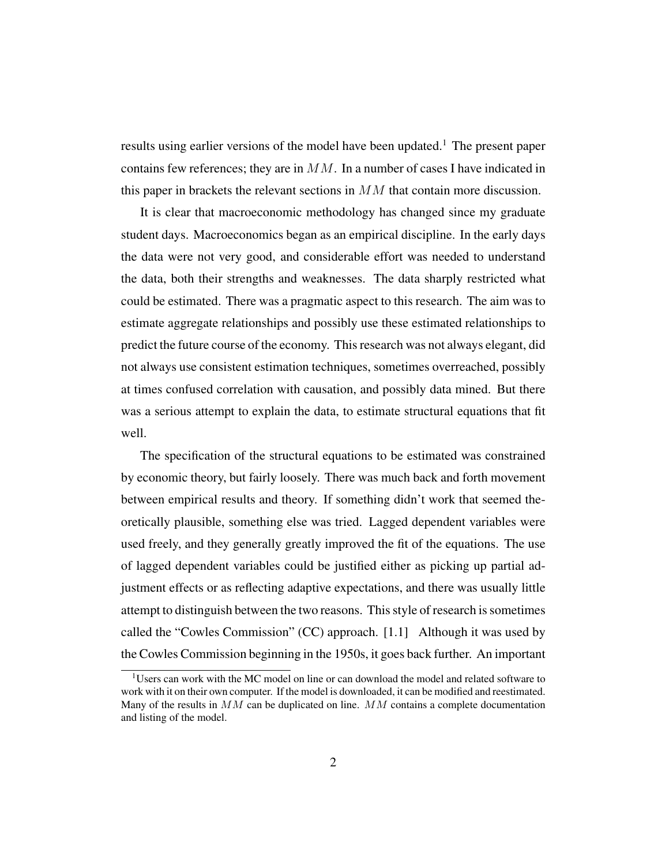results using earlier versions of the model have been updated.<sup>1</sup> The present paper contains few references; they are in  $MM$ . In a number of cases I have indicated in this paper in brackets the relevant sections in  $MM$  that contain more discussion.

It is clear that macroeconomic methodology has changed since my graduate student days. Macroeconomics began as an empirical discipline. In the early days the data were not very good, and considerable effort was needed to understand the data, both their strengths and weaknesses. The data sharply restricted what could be estimated. There was a pragmatic aspect to this research. The aim was to estimate aggregate relationships and possibly use these estimated relationships to predict the future course of the economy. This research was not always elegant, did not always use consistent estimation techniques, sometimes overreached, possibly at times confused correlation with causation, and possibly data mined. But there was a serious attempt to explain the data, to estimate structural equations that fit well.

The specification of the structural equations to be estimated was constrained by economic theory, but fairly loosely. There was much back and forth movement between empirical results and theory. If something didn't work that seemed theoretically plausible, something else was tried. Lagged dependent variables were used freely, and they generally greatly improved the fit of the equations. The use of lagged dependent variables could be justified either as picking up partial adjustment effects or as reflecting adaptive expectations, and there was usually little attempt to distinguish between the two reasons. This style of research is sometimes called the "Cowles Commission" (CC) approach. [1.1] Although it was used by the Cowles Commission beginning in the 1950s, it goes back further. An important

<sup>&</sup>lt;sup>1</sup>Users can work with the MC model on line or can download the model and related software to work with it on their own computer. If the model is downloaded, it can be modified and reestimated. Many of the results in  $MM$  can be duplicated on line.  $MM$  contains a complete documentation and listing of the model.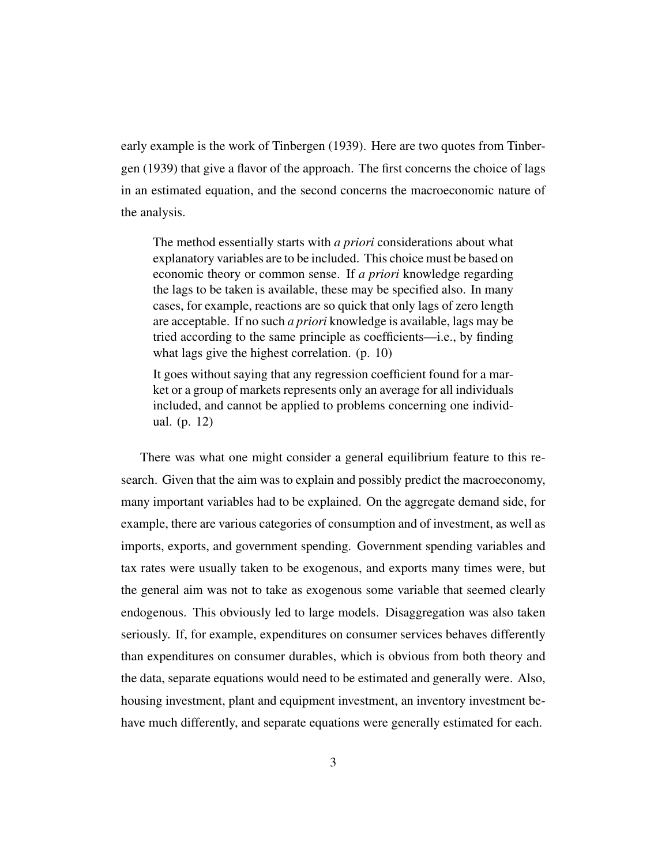early example is the work of Tinbergen (1939). Here are two quotes from Tinbergen (1939) that give a flavor of the approach. The first concerns the choice of lags in an estimated equation, and the second concerns the macroeconomic nature of the analysis.

The method essentially starts with *a priori* considerations about what explanatory variables are to be included. This choice must be based on economic theory or common sense. If *a priori* knowledge regarding the lags to be taken is available, these may be specified also. In many cases, for example, reactions are so quick that only lags of zero length are acceptable. If no such *a priori* knowledge is available, lags may be tried according to the same principle as coefficients—i.e., by finding what lags give the highest correlation. (p. 10)

It goes without saying that any regression coefficient found for a market or a group of markets represents only an average for all individuals included, and cannot be applied to problems concerning one individual. (p. 12)

There was what one might consider a general equilibrium feature to this research. Given that the aim was to explain and possibly predict the macroeconomy, many important variables had to be explained. On the aggregate demand side, for example, there are various categories of consumption and of investment, as well as imports, exports, and government spending. Government spending variables and tax rates were usually taken to be exogenous, and exports many times were, but the general aim was not to take as exogenous some variable that seemed clearly endogenous. This obviously led to large models. Disaggregation was also taken seriously. If, for example, expenditures on consumer services behaves differently than expenditures on consumer durables, which is obvious from both theory and the data, separate equations would need to be estimated and generally were. Also, housing investment, plant and equipment investment, an inventory investment behave much differently, and separate equations were generally estimated for each.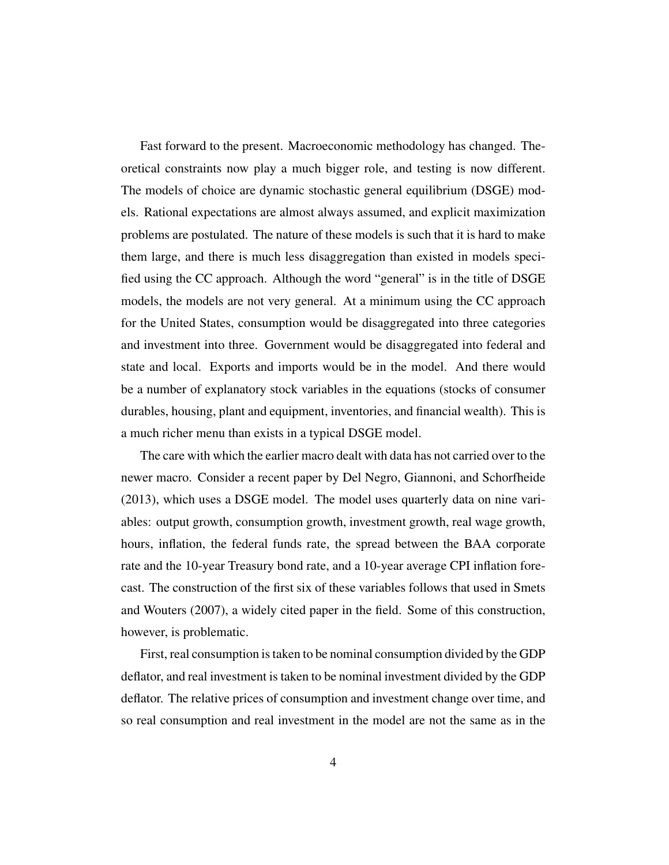Fast forward to the present. Macroeconomic methodology has changed. Theoretical constraints now play a much bigger role, and testing is now different. The models of choice are dynamic stochastic general equilibrium (DSGE) models. Rational expectations are almost always assumed, and explicit maximization problems are postulated. The nature of these models is such that it is hard to make them large, and there is much less disaggregation than existed in models specified using the CC approach. Although the word "general" is in the title of DSGE models, the models are not very general. At a minimum using the CC approach for the United States, consumption would be disaggregated into three categories and investment into three. Government would be disaggregated into federal and state and local. Exports and imports would be in the model. And there would be a number of explanatory stock variables in the equations (stocks of consumer durables, housing, plant and equipment, inventories, and financial wealth). This is a much richer menu than exists in a typical DSGE model.

The care with which the earlier macro dealt with data has not carried over to the newer macro. Consider a recent paper by Del Negro, Giannoni, and Schorfheide (2013), which uses a DSGE model. The model uses quarterly data on nine variables: output growth, consumption growth, investment growth, real wage growth, hours, inflation, the federal funds rate, the spread between the BAA corporate rate and the 10-year Treasury bond rate, and a 10-year average CPI inflation forecast. The construction of the first six of these variables follows that used in Smets and Wouters (2007), a widely cited paper in the field. Some of this construction, however, is problematic.

First, real consumption is taken to be nominal consumption divided by the GDP deflator, and real investment is taken to be nominal investment divided by the GDP deflator. The relative prices of consumption and investment change over time, and so real consumption and real investment in the model are not the same as in the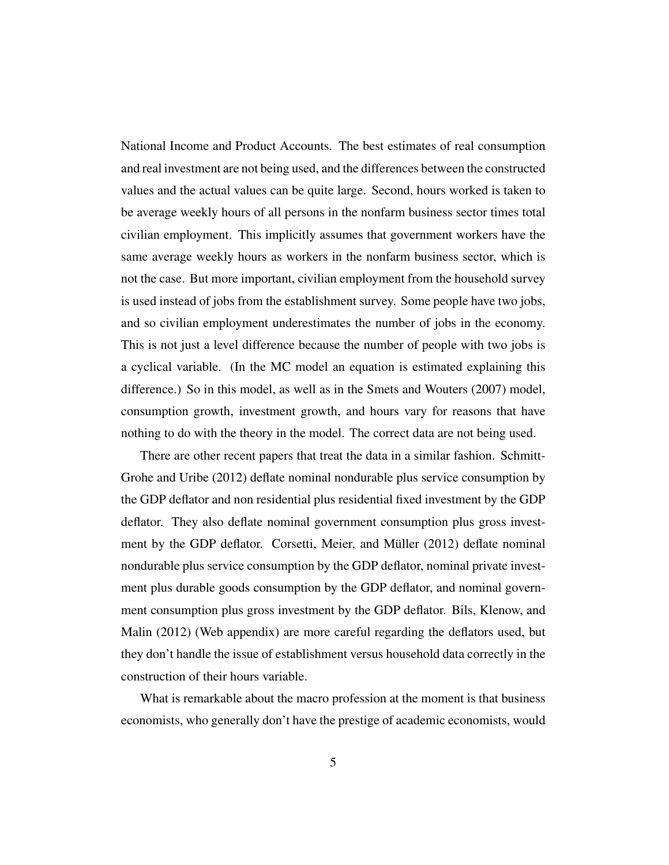National Income and Product Accounts. The best estimates of real consumption and real investment are not being used, and the differences between the constructed values and the actual values can be quite large. Second, hours worked is taken to be average weekly hours of all persons in the nonfarm business sector times total civilian employment. This implicitly assumes that government workers have the same average weekly hours as workers in the nonfarm business sector, which is not the case. But more important, civilian employment from the household survey is used instead of jobs from the establishment survey. Some people have two jobs, and so civilian employment underestimates the number of jobs in the economy. This is not just a level difference because the number of people with two jobs is a cyclical variable. (In the MC model an equation is estimated explaining this difference.) So in this model, as well as in the Smets and Wouters (2007) model, consumption growth, investment growth, and hours vary for reasons that have nothing to do with the theory in the model. The correct data are not being used.

There are other recent papers that treat the data in a similar fashion. Schmitt-Grohe and Uribe (2012) deflate nominal nondurable plus service consumption by the GDP deflator and non residential plus residential fixed investment by the GDP deflator. They also deflate nominal government consumption plus gross investment by the GDP deflator. Corsetti, Meier, and Müller (2012) deflate nominal nondurable plus service consumption by the GDP deflator, nominal private investment plus durable goods consumption by the GDP deflator, and nominal government consumption plus gross investment by the GDP deflator. Bils, Klenow, and Malin (2012) (Web appendix) are more careful regarding the deflators used, but they don't handle the issue of establishment versus household data correctly in the construction of their hours variable.

What is remarkable about the macro profession at the moment is that business economists, who generally don't have the prestige of academic economists, would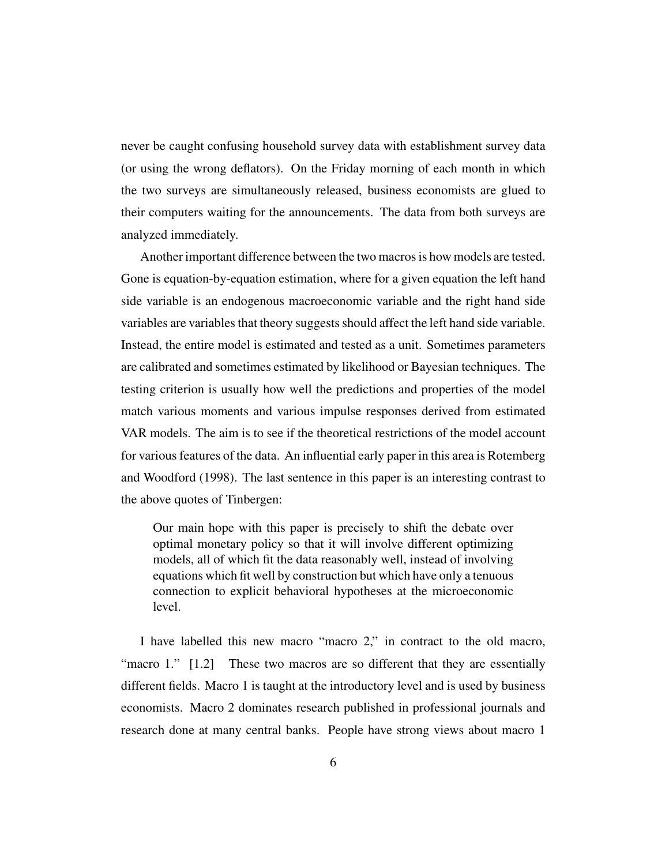never be caught confusing household survey data with establishment survey data (or using the wrong deflators). On the Friday morning of each month in which the two surveys are simultaneously released, business economists are glued to their computers waiting for the announcements. The data from both surveys are analyzed immediately.

Another important difference between the two macros is how models are tested. Gone is equation-by-equation estimation, where for a given equation the left hand side variable is an endogenous macroeconomic variable and the right hand side variables are variables that theory suggests should affect the left hand side variable. Instead, the entire model is estimated and tested as a unit. Sometimes parameters are calibrated and sometimes estimated by likelihood or Bayesian techniques. The testing criterion is usually how well the predictions and properties of the model match various moments and various impulse responses derived from estimated VAR models. The aim is to see if the theoretical restrictions of the model account for various features of the data. An influential early paper in this area is Rotemberg and Woodford (1998). The last sentence in this paper is an interesting contrast to the above quotes of Tinbergen:

Our main hope with this paper is precisely to shift the debate over optimal monetary policy so that it will involve different optimizing models, all of which fit the data reasonably well, instead of involving equations which fit well by construction but which have only a tenuous connection to explicit behavioral hypotheses at the microeconomic level.

I have labelled this new macro "macro 2," in contract to the old macro, "macro 1." [1.2] These two macros are so different that they are essentially different fields. Macro 1 is taught at the introductory level and is used by business economists. Macro 2 dominates research published in professional journals and research done at many central banks. People have strong views about macro 1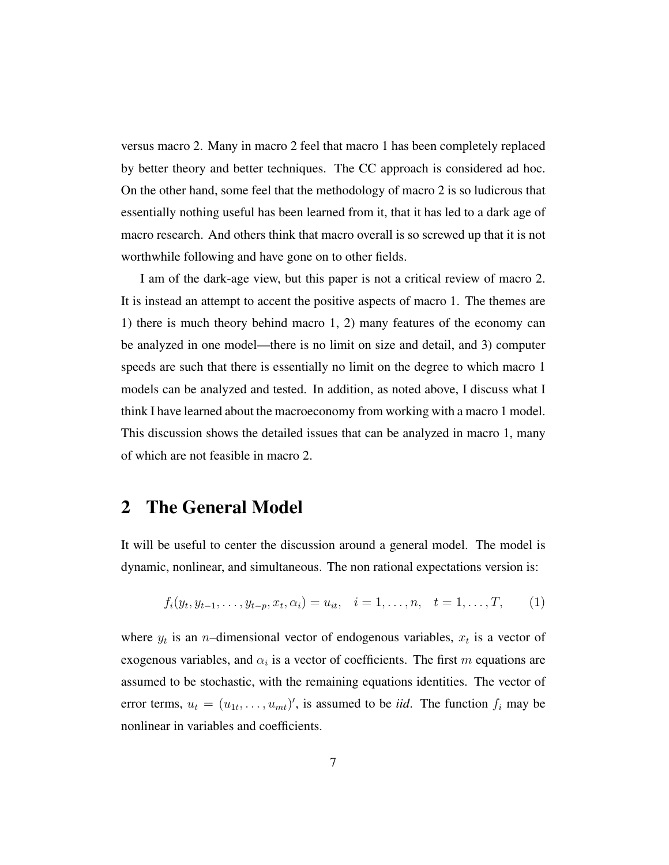versus macro 2. Many in macro 2 feel that macro 1 has been completely replaced by better theory and better techniques. The CC approach is considered ad hoc. On the other hand, some feel that the methodology of macro 2 is so ludicrous that essentially nothing useful has been learned from it, that it has led to a dark age of macro research. And others think that macro overall is so screwed up that it is not worthwhile following and have gone on to other fields.

I am of the dark-age view, but this paper is not a critical review of macro 2. It is instead an attempt to accent the positive aspects of macro 1. The themes are 1) there is much theory behind macro 1, 2) many features of the economy can be analyzed in one model—there is no limit on size and detail, and 3) computer speeds are such that there is essentially no limit on the degree to which macro 1 models can be analyzed and tested. In addition, as noted above, I discuss what I think I have learned about the macroeconomy from working with a macro 1 model. This discussion shows the detailed issues that can be analyzed in macro 1, many of which are not feasible in macro 2.

### 2 The General Model

It will be useful to center the discussion around a general model. The model is dynamic, nonlinear, and simultaneous. The non rational expectations version is:

$$
f_i(y_t, y_{t-1}, \dots, y_{t-p}, x_t, \alpha_i) = u_{it}, \quad i = 1, \dots, n, \quad t = 1, \dots, T,
$$
 (1)

where  $y_t$  is an *n*-dimensional vector of endogenous variables,  $x_t$  is a vector of exogenous variables, and  $\alpha_i$  is a vector of coefficients. The first m equations are assumed to be stochastic, with the remaining equations identities. The vector of error terms,  $u_t = (u_{1t}, \dots, u_{mt})'$ , is assumed to be *iid*. The function  $f_i$  may be nonlinear in variables and coefficients.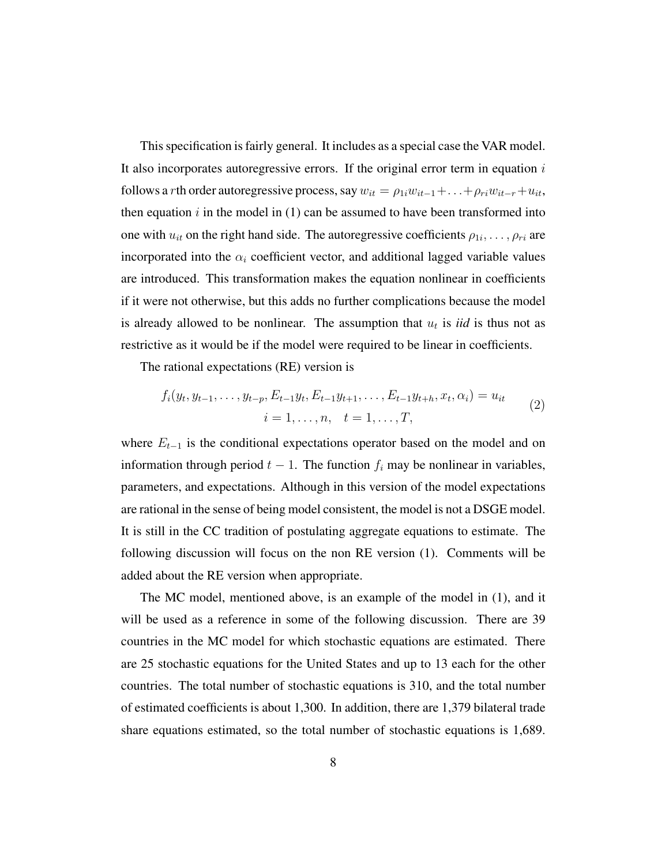This specification is fairly general. It includes as a special case the VAR model. It also incorporates autoregressive errors. If the original error term in equation  $i$ follows a *r*th order autoregressive process, say  $w_{it} = \rho_{1i} w_{it-1} + \ldots + \rho_{ri} w_{it-r} + u_{it}$ , then equation  $i$  in the model in (1) can be assumed to have been transformed into one with  $u_{it}$  on the right hand side. The autoregressive coefficients  $\rho_{1i}, \dots, \rho_{ri}$  are incorporated into the  $\alpha_i$  coefficient vector, and additional lagged variable values are introduced. This transformation makes the equation nonlinear in coefficients if it were not otherwise, but this adds no further complications because the model is already allowed to be nonlinear. The assumption that  $u_t$  is *iid* is thus not as restrictive as it would be if the model were required to be linear in coefficients.

The rational expectations (RE) version is

$$
f_i(y_t, y_{t-1}, \dots, y_{t-p}, E_{t-1}y_t, E_{t-1}y_{t+1}, \dots, E_{t-1}y_{t+h}, x_t, \alpha_i) = u_{it}
$$
  
\n
$$
i = 1, \dots, n, \quad t = 1, \dots, T,
$$
\n(2)

where  $E_{t-1}$  is the conditional expectations operator based on the model and on information through period  $t - 1$ . The function  $f_i$  may be nonlinear in variables, parameters, and expectations. Although in this version of the model expectations are rational in the sense of being model consistent, the model is not a DSGE model. It is still in the CC tradition of postulating aggregate equations to estimate. The following discussion will focus on the non RE version (1). Comments will be added about the RE version when appropriate.

The MC model, mentioned above, is an example of the model in (1), and it will be used as a reference in some of the following discussion. There are 39 countries in the MC model for which stochastic equations are estimated. There are 25 stochastic equations for the United States and up to 13 each for the other countries. The total number of stochastic equations is 310, and the total number of estimated coefficients is about 1,300. In addition, there are 1,379 bilateral trade share equations estimated, so the total number of stochastic equations is 1,689.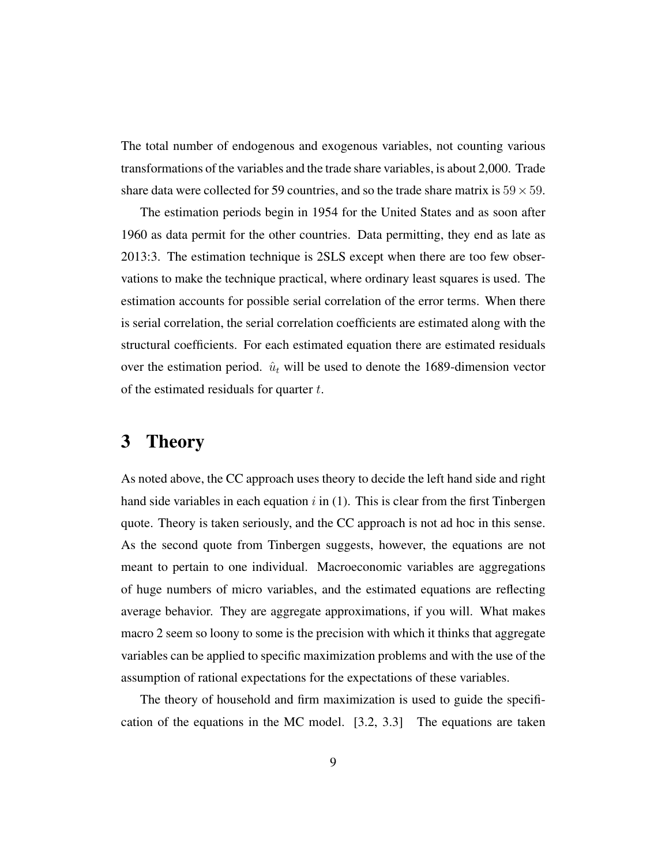The total number of endogenous and exogenous variables, not counting various transformations of the variables and the trade share variables, is about 2,000. Trade share data were collected for 59 countries, and so the trade share matrix is  $59 \times 59$ .

The estimation periods begin in 1954 for the United States and as soon after 1960 as data permit for the other countries. Data permitting, they end as late as 2013:3. The estimation technique is 2SLS except when there are too few observations to make the technique practical, where ordinary least squares is used. The estimation accounts for possible serial correlation of the error terms. When there is serial correlation, the serial correlation coefficients are estimated along with the structural coefficients. For each estimated equation there are estimated residuals over the estimation period.  $\hat{u}_t$  will be used to denote the 1689-dimension vector of the estimated residuals for quarter  $t$ .

### 3 Theory

As noted above, the CC approach uses theory to decide the left hand side and right hand side variables in each equation  $i$  in (1). This is clear from the first Tinbergen quote. Theory is taken seriously, and the CC approach is not ad hoc in this sense. As the second quote from Tinbergen suggests, however, the equations are not meant to pertain to one individual. Macroeconomic variables are aggregations of huge numbers of micro variables, and the estimated equations are reflecting average behavior. They are aggregate approximations, if you will. What makes macro 2 seem so loony to some is the precision with which it thinks that aggregate variables can be applied to specific maximization problems and with the use of the assumption of rational expectations for the expectations of these variables.

The theory of household and firm maximization is used to guide the specification of the equations in the MC model. [3.2, 3.3] The equations are taken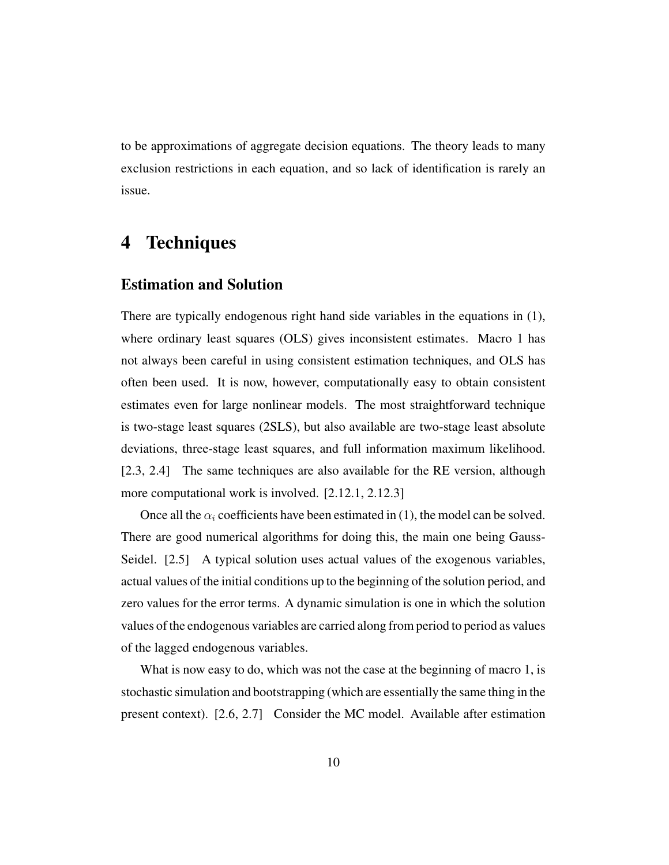to be approximations of aggregate decision equations. The theory leads to many exclusion restrictions in each equation, and so lack of identification is rarely an issue.

### 4 Techniques

### Estimation and Solution

There are typically endogenous right hand side variables in the equations in (1), where ordinary least squares (OLS) gives inconsistent estimates. Macro 1 has not always been careful in using consistent estimation techniques, and OLS has often been used. It is now, however, computationally easy to obtain consistent estimates even for large nonlinear models. The most straightforward technique is two-stage least squares (2SLS), but also available are two-stage least absolute deviations, three-stage least squares, and full information maximum likelihood. [2.3, 2.4] The same techniques are also available for the RE version, although more computational work is involved. [2.12.1, 2.12.3]

Once all the  $\alpha_i$  coefficients have been estimated in (1), the model can be solved. There are good numerical algorithms for doing this, the main one being Gauss-Seidel. [2.5] A typical solution uses actual values of the exogenous variables, actual values of the initial conditions up to the beginning of the solution period, and zero values for the error terms. A dynamic simulation is one in which the solution values of the endogenous variables are carried along from period to period as values of the lagged endogenous variables.

What is now easy to do, which was not the case at the beginning of macro 1, is stochastic simulation and bootstrapping (which are essentially the same thing in the present context). [2.6, 2.7] Consider the MC model. Available after estimation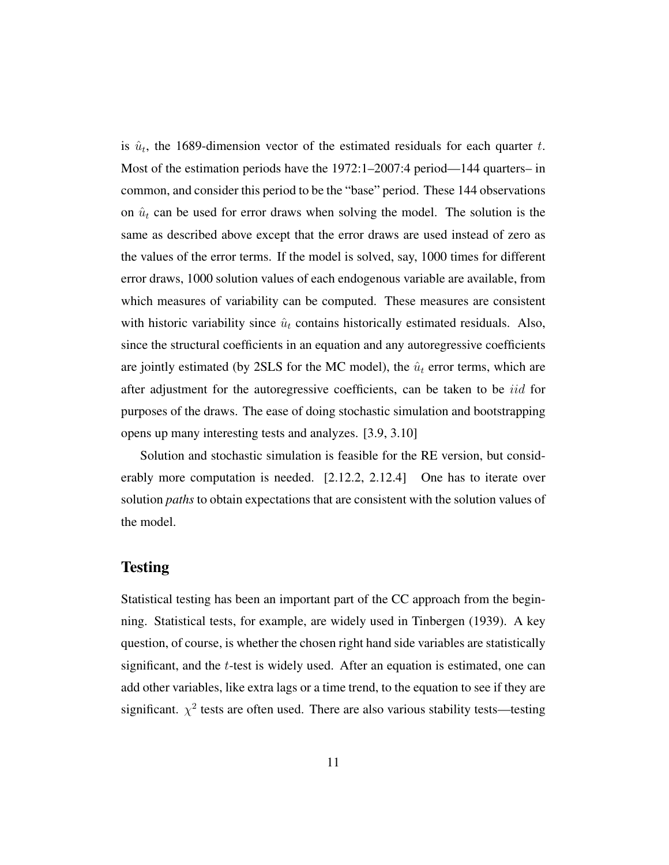is  $\hat{u}_t$ , the 1689-dimension vector of the estimated residuals for each quarter t. Most of the estimation periods have the 1972:1–2007:4 period—144 quarters– in common, and consider this period to be the "base" period. These 144 observations on  $\hat{u}_t$  can be used for error draws when solving the model. The solution is the same as described above except that the error draws are used instead of zero as the values of the error terms. If the model is solved, say, 1000 times for different error draws, 1000 solution values of each endogenous variable are available, from which measures of variability can be computed. These measures are consistent with historic variability since  $\hat{u}_t$  contains historically estimated residuals. Also, since the structural coefficients in an equation and any autoregressive coefficients are jointly estimated (by 2SLS for the MC model), the  $\hat{u}_t$  error terms, which are after adjustment for the autoregressive coefficients, can be taken to be *iid* for purposes of the draws. The ease of doing stochastic simulation and bootstrapping opens up many interesting tests and analyzes. [3.9, 3.10]

Solution and stochastic simulation is feasible for the RE version, but considerably more computation is needed. [2.12.2, 2.12.4] One has to iterate over solution *paths* to obtain expectations that are consistent with the solution values of the model.

### Testing

Statistical testing has been an important part of the CC approach from the beginning. Statistical tests, for example, are widely used in Tinbergen (1939). A key question, of course, is whether the chosen right hand side variables are statistically significant, and the t-test is widely used. After an equation is estimated, one can add other variables, like extra lags or a time trend, to the equation to see if they are significant.  $\chi^2$  tests are often used. There are also various stability tests—testing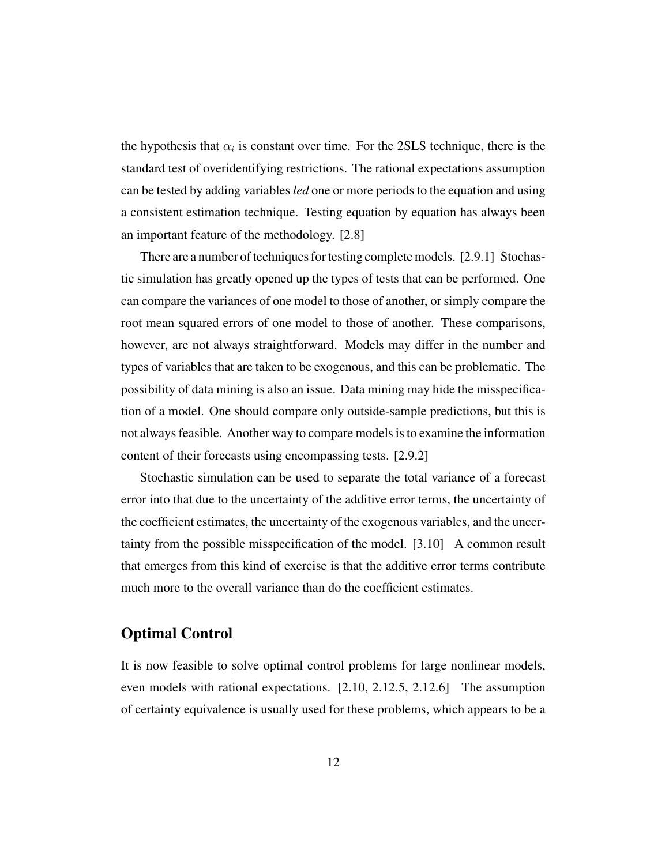the hypothesis that  $\alpha_i$  is constant over time. For the 2SLS technique, there is the standard test of overidentifying restrictions. The rational expectations assumption can be tested by adding variables *led* one or more periods to the equation and using a consistent estimation technique. Testing equation by equation has always been an important feature of the methodology. [2.8]

There are a number of techniques for testing complete models. [2.9.1] Stochastic simulation has greatly opened up the types of tests that can be performed. One can compare the variances of one model to those of another, or simply compare the root mean squared errors of one model to those of another. These comparisons, however, are not always straightforward. Models may differ in the number and types of variables that are taken to be exogenous, and this can be problematic. The possibility of data mining is also an issue. Data mining may hide the misspecification of a model. One should compare only outside-sample predictions, but this is not always feasible. Another way to compare models is to examine the information content of their forecasts using encompassing tests. [2.9.2]

Stochastic simulation can be used to separate the total variance of a forecast error into that due to the uncertainty of the additive error terms, the uncertainty of the coefficient estimates, the uncertainty of the exogenous variables, and the uncertainty from the possible misspecification of the model. [3.10] A common result that emerges from this kind of exercise is that the additive error terms contribute much more to the overall variance than do the coefficient estimates.

### Optimal Control

It is now feasible to solve optimal control problems for large nonlinear models, even models with rational expectations. [2.10, 2.12.5, 2.12.6] The assumption of certainty equivalence is usually used for these problems, which appears to be a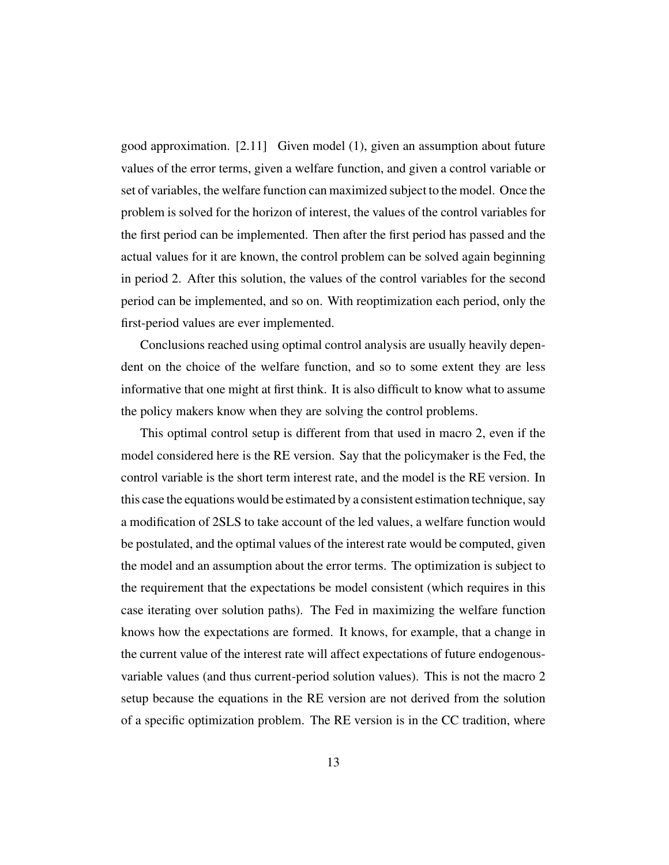good approximation. [2.11] Given model (1), given an assumption about future values of the error terms, given a welfare function, and given a control variable or set of variables, the welfare function can maximized subject to the model. Once the problem is solved for the horizon of interest, the values of the control variables for the first period can be implemented. Then after the first period has passed and the actual values for it are known, the control problem can be solved again beginning in period 2. After this solution, the values of the control variables for the second period can be implemented, and so on. With reoptimization each period, only the first-period values are ever implemented.

Conclusions reached using optimal control analysis are usually heavily dependent on the choice of the welfare function, and so to some extent they are less informative that one might at first think. It is also difficult to know what to assume the policy makers know when they are solving the control problems.

This optimal control setup is different from that used in macro 2, even if the model considered here is the RE version. Say that the policymaker is the Fed, the control variable is the short term interest rate, and the model is the RE version. In this case the equations would be estimated by a consistent estimation technique, say a modification of 2SLS to take account of the led values, a welfare function would be postulated, and the optimal values of the interest rate would be computed, given the model and an assumption about the error terms. The optimization is subject to the requirement that the expectations be model consistent (which requires in this case iterating over solution paths). The Fed in maximizing the welfare function knows how the expectations are formed. It knows, for example, that a change in the current value of the interest rate will affect expectations of future endogenousvariable values (and thus current-period solution values). This is not the macro 2 setup because the equations in the RE version are not derived from the solution of a specific optimization problem. The RE version is in the CC tradition, where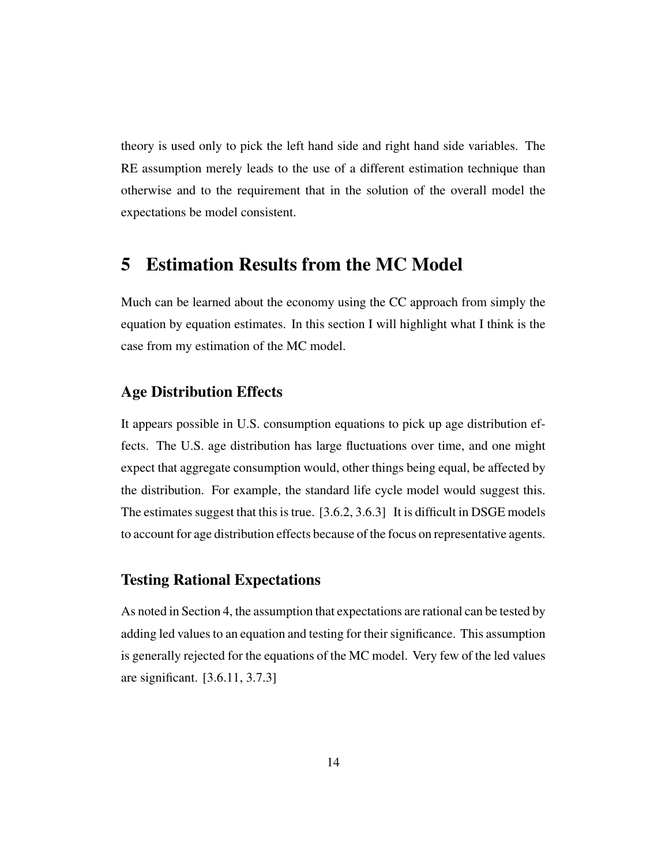theory is used only to pick the left hand side and right hand side variables. The RE assumption merely leads to the use of a different estimation technique than otherwise and to the requirement that in the solution of the overall model the expectations be model consistent.

## 5 Estimation Results from the MC Model

Much can be learned about the economy using the CC approach from simply the equation by equation estimates. In this section I will highlight what I think is the case from my estimation of the MC model.

### Age Distribution Effects

It appears possible in U.S. consumption equations to pick up age distribution effects. The U.S. age distribution has large fluctuations over time, and one might expect that aggregate consumption would, other things being equal, be affected by the distribution. For example, the standard life cycle model would suggest this. The estimates suggest that this is true. [3.6.2, 3.6.3] It is difficult in DSGE models to account for age distribution effects because of the focus on representative agents.

### Testing Rational Expectations

As noted in Section 4, the assumption that expectations are rational can be tested by adding led values to an equation and testing for their significance. This assumption is generally rejected for the equations of the MC model. Very few of the led values are significant. [3.6.11, 3.7.3]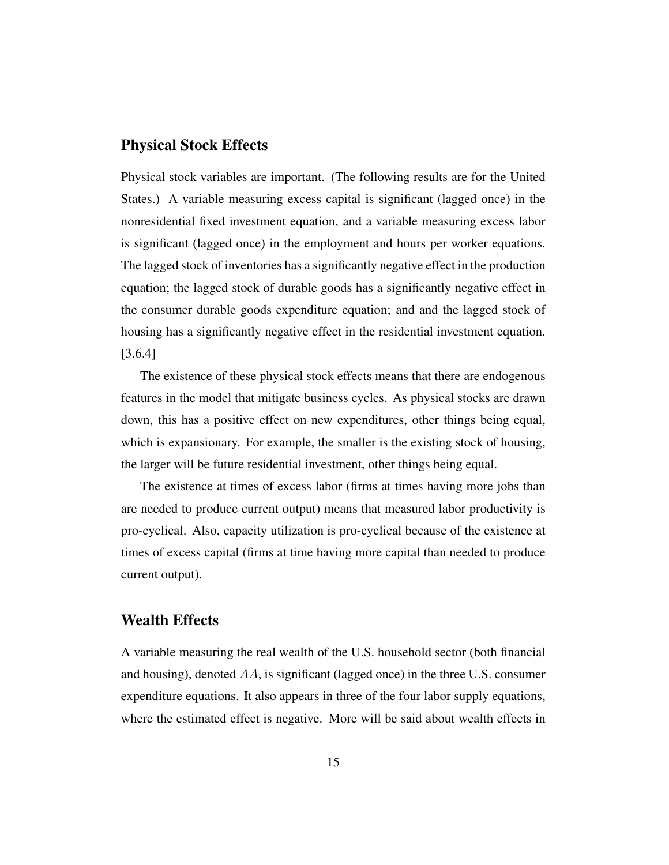#### Physical Stock Effects

Physical stock variables are important. (The following results are for the United States.) A variable measuring excess capital is significant (lagged once) in the nonresidential fixed investment equation, and a variable measuring excess labor is significant (lagged once) in the employment and hours per worker equations. The lagged stock of inventories has a significantly negative effect in the production equation; the lagged stock of durable goods has a significantly negative effect in the consumer durable goods expenditure equation; and and the lagged stock of housing has a significantly negative effect in the residential investment equation. [3.6.4]

The existence of these physical stock effects means that there are endogenous features in the model that mitigate business cycles. As physical stocks are drawn down, this has a positive effect on new expenditures, other things being equal, which is expansionary. For example, the smaller is the existing stock of housing, the larger will be future residential investment, other things being equal.

The existence at times of excess labor (firms at times having more jobs than are needed to produce current output) means that measured labor productivity is pro-cyclical. Also, capacity utilization is pro-cyclical because of the existence at times of excess capital (firms at time having more capital than needed to produce current output).

### Wealth Effects

A variable measuring the real wealth of the U.S. household sector (both financial and housing), denoted  $AA$ , is significant (lagged once) in the three U.S. consumer expenditure equations. It also appears in three of the four labor supply equations, where the estimated effect is negative. More will be said about wealth effects in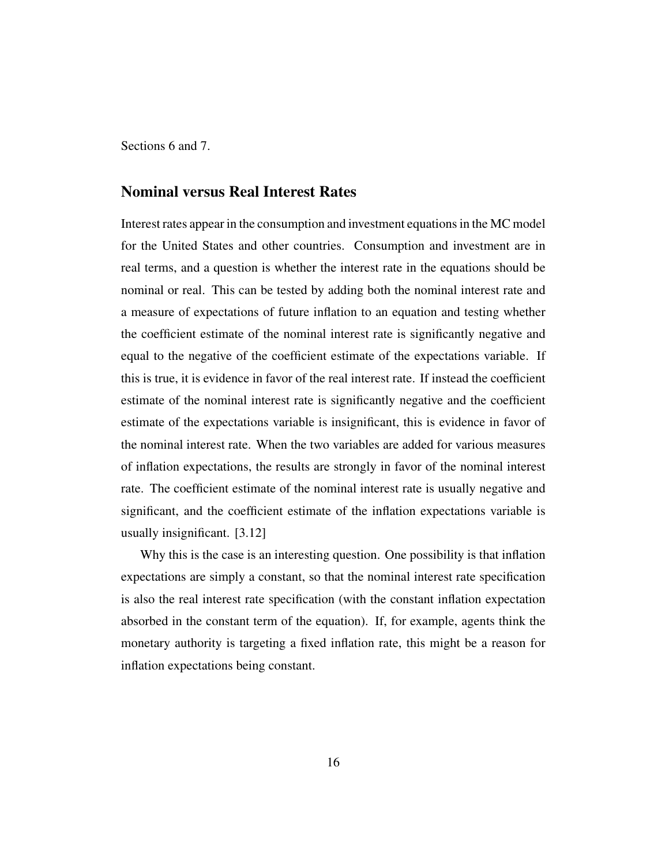Sections 6 and 7.

### Nominal versus Real Interest Rates

Interest rates appear in the consumption and investment equations in the MC model for the United States and other countries. Consumption and investment are in real terms, and a question is whether the interest rate in the equations should be nominal or real. This can be tested by adding both the nominal interest rate and a measure of expectations of future inflation to an equation and testing whether the coefficient estimate of the nominal interest rate is significantly negative and equal to the negative of the coefficient estimate of the expectations variable. If this is true, it is evidence in favor of the real interest rate. If instead the coefficient estimate of the nominal interest rate is significantly negative and the coefficient estimate of the expectations variable is insignificant, this is evidence in favor of the nominal interest rate. When the two variables are added for various measures of inflation expectations, the results are strongly in favor of the nominal interest rate. The coefficient estimate of the nominal interest rate is usually negative and significant, and the coefficient estimate of the inflation expectations variable is usually insignificant. [3.12]

Why this is the case is an interesting question. One possibility is that inflation expectations are simply a constant, so that the nominal interest rate specification is also the real interest rate specification (with the constant inflation expectation absorbed in the constant term of the equation). If, for example, agents think the monetary authority is targeting a fixed inflation rate, this might be a reason for inflation expectations being constant.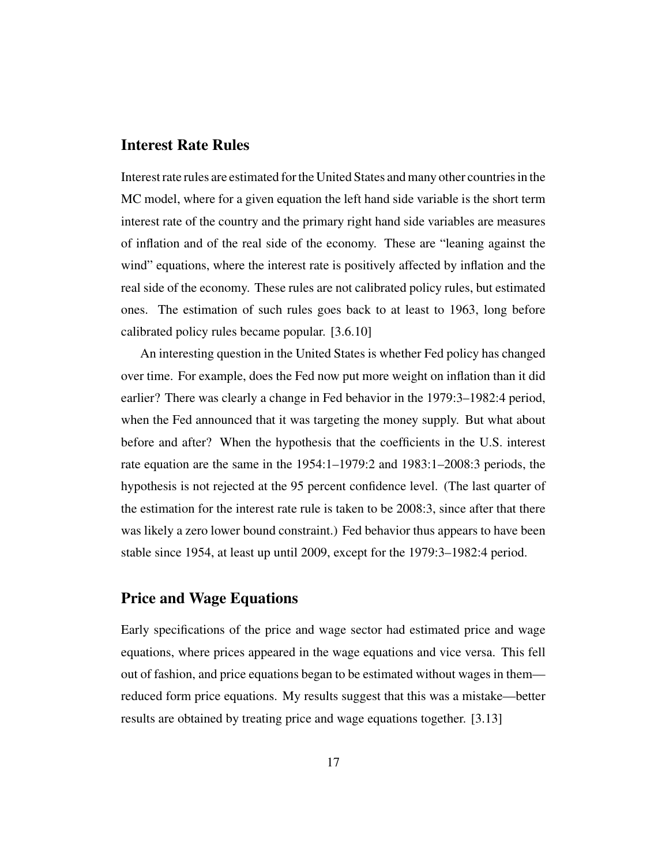### Interest Rate Rules

Interest rate rules are estimated for the United States and many other countries in the MC model, where for a given equation the left hand side variable is the short term interest rate of the country and the primary right hand side variables are measures of inflation and of the real side of the economy. These are "leaning against the wind" equations, where the interest rate is positively affected by inflation and the real side of the economy. These rules are not calibrated policy rules, but estimated ones. The estimation of such rules goes back to at least to 1963, long before calibrated policy rules became popular. [3.6.10]

An interesting question in the United States is whether Fed policy has changed over time. For example, does the Fed now put more weight on inflation than it did earlier? There was clearly a change in Fed behavior in the 1979:3–1982:4 period, when the Fed announced that it was targeting the money supply. But what about before and after? When the hypothesis that the coefficients in the U.S. interest rate equation are the same in the 1954:1–1979:2 and 1983:1–2008:3 periods, the hypothesis is not rejected at the 95 percent confidence level. (The last quarter of the estimation for the interest rate rule is taken to be 2008:3, since after that there was likely a zero lower bound constraint.) Fed behavior thus appears to have been stable since 1954, at least up until 2009, except for the 1979:3–1982:4 period.

### Price and Wage Equations

Early specifications of the price and wage sector had estimated price and wage equations, where prices appeared in the wage equations and vice versa. This fell out of fashion, and price equations began to be estimated without wages in them reduced form price equations. My results suggest that this was a mistake—better results are obtained by treating price and wage equations together. [3.13]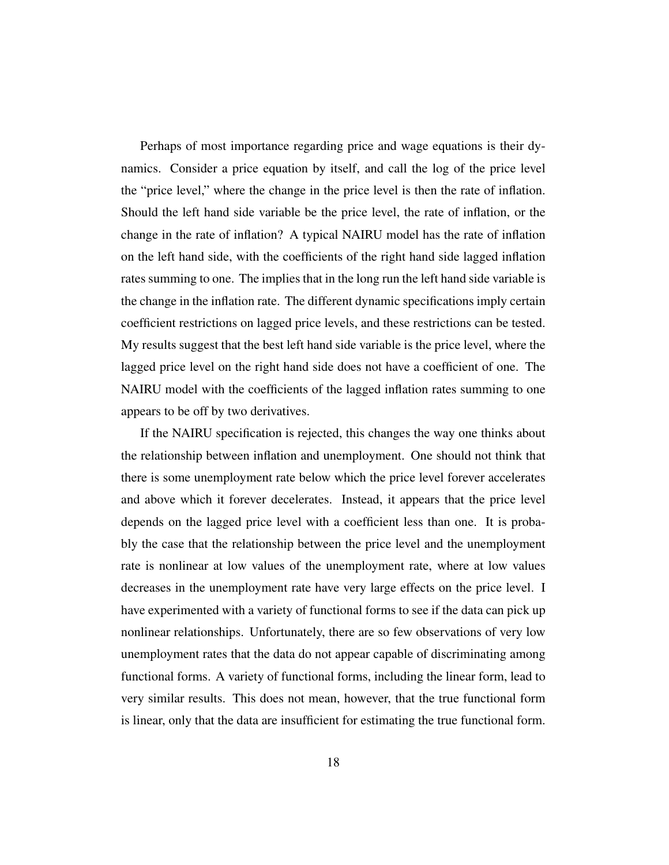Perhaps of most importance regarding price and wage equations is their dynamics. Consider a price equation by itself, and call the log of the price level the "price level," where the change in the price level is then the rate of inflation. Should the left hand side variable be the price level, the rate of inflation, or the change in the rate of inflation? A typical NAIRU model has the rate of inflation on the left hand side, with the coefficients of the right hand side lagged inflation rates summing to one. The implies that in the long run the left hand side variable is the change in the inflation rate. The different dynamic specifications imply certain coefficient restrictions on lagged price levels, and these restrictions can be tested. My results suggest that the best left hand side variable is the price level, where the lagged price level on the right hand side does not have a coefficient of one. The NAIRU model with the coefficients of the lagged inflation rates summing to one appears to be off by two derivatives.

If the NAIRU specification is rejected, this changes the way one thinks about the relationship between inflation and unemployment. One should not think that there is some unemployment rate below which the price level forever accelerates and above which it forever decelerates. Instead, it appears that the price level depends on the lagged price level with a coefficient less than one. It is probably the case that the relationship between the price level and the unemployment rate is nonlinear at low values of the unemployment rate, where at low values decreases in the unemployment rate have very large effects on the price level. I have experimented with a variety of functional forms to see if the data can pick up nonlinear relationships. Unfortunately, there are so few observations of very low unemployment rates that the data do not appear capable of discriminating among functional forms. A variety of functional forms, including the linear form, lead to very similar results. This does not mean, however, that the true functional form is linear, only that the data are insufficient for estimating the true functional form.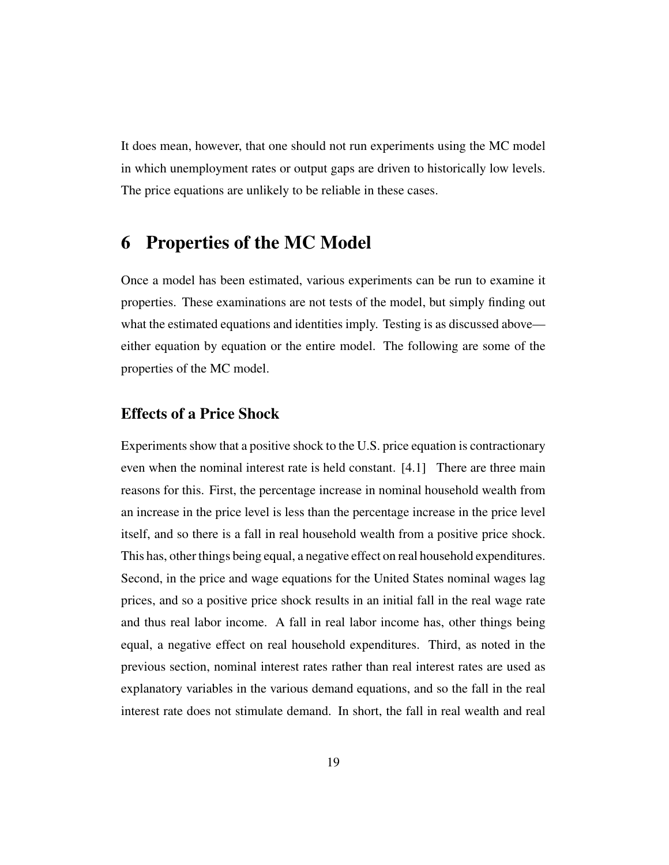It does mean, however, that one should not run experiments using the MC model in which unemployment rates or output gaps are driven to historically low levels. The price equations are unlikely to be reliable in these cases.

## 6 Properties of the MC Model

Once a model has been estimated, various experiments can be run to examine it properties. These examinations are not tests of the model, but simply finding out what the estimated equations and identities imply. Testing is as discussed above either equation by equation or the entire model. The following are some of the properties of the MC model.

### Effects of a Price Shock

Experiments show that a positive shock to the U.S. price equation is contractionary even when the nominal interest rate is held constant. [4.1] There are three main reasons for this. First, the percentage increase in nominal household wealth from an increase in the price level is less than the percentage increase in the price level itself, and so there is a fall in real household wealth from a positive price shock. This has, other things being equal, a negative effect on real household expenditures. Second, in the price and wage equations for the United States nominal wages lag prices, and so a positive price shock results in an initial fall in the real wage rate and thus real labor income. A fall in real labor income has, other things being equal, a negative effect on real household expenditures. Third, as noted in the previous section, nominal interest rates rather than real interest rates are used as explanatory variables in the various demand equations, and so the fall in the real interest rate does not stimulate demand. In short, the fall in real wealth and real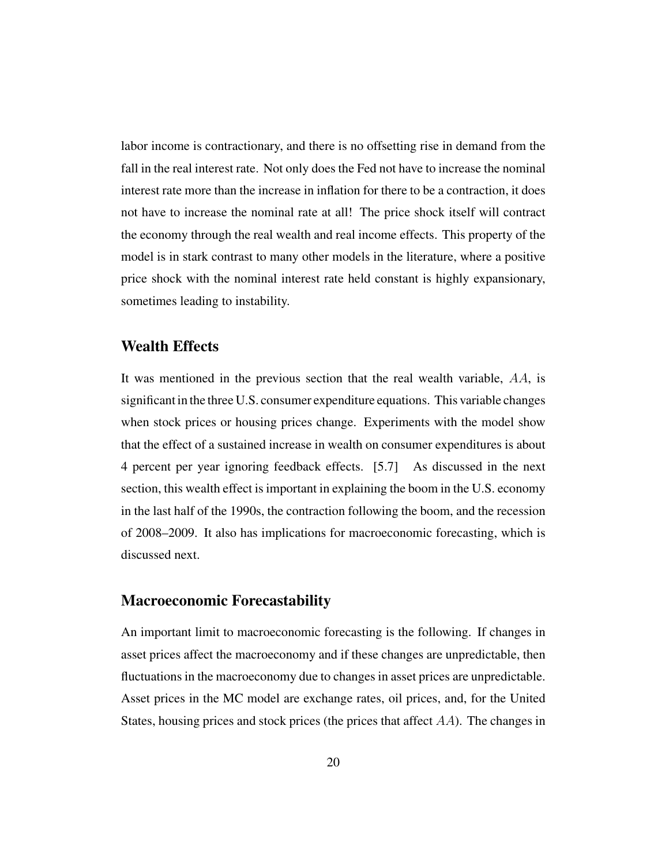labor income is contractionary, and there is no offsetting rise in demand from the fall in the real interest rate. Not only does the Fed not have to increase the nominal interest rate more than the increase in inflation for there to be a contraction, it does not have to increase the nominal rate at all! The price shock itself will contract the economy through the real wealth and real income effects. This property of the model is in stark contrast to many other models in the literature, where a positive price shock with the nominal interest rate held constant is highly expansionary, sometimes leading to instability.

### Wealth Effects

It was mentioned in the previous section that the real wealth variable, AA, is significant in the three U.S. consumer expenditure equations. This variable changes when stock prices or housing prices change. Experiments with the model show that the effect of a sustained increase in wealth on consumer expenditures is about 4 percent per year ignoring feedback effects. [5.7] As discussed in the next section, this wealth effect is important in explaining the boom in the U.S. economy in the last half of the 1990s, the contraction following the boom, and the recession of 2008–2009. It also has implications for macroeconomic forecasting, which is discussed next.

#### Macroeconomic Forecastability

An important limit to macroeconomic forecasting is the following. If changes in asset prices affect the macroeconomy and if these changes are unpredictable, then fluctuations in the macroeconomy due to changes in asset prices are unpredictable. Asset prices in the MC model are exchange rates, oil prices, and, for the United States, housing prices and stock prices (the prices that affect AA). The changes in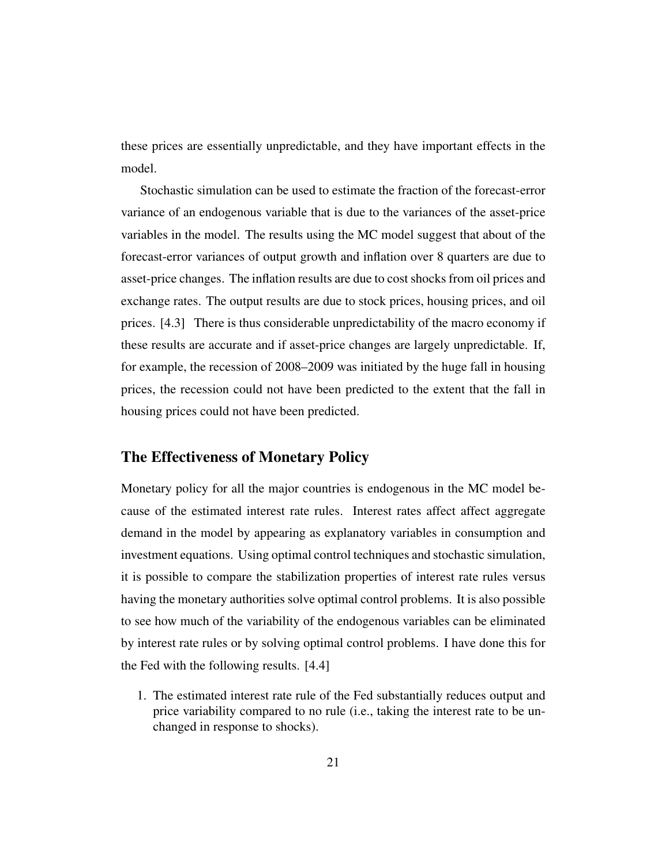these prices are essentially unpredictable, and they have important effects in the model.

Stochastic simulation can be used to estimate the fraction of the forecast-error variance of an endogenous variable that is due to the variances of the asset-price variables in the model. The results using the MC model suggest that about of the forecast-error variances of output growth and inflation over 8 quarters are due to asset-price changes. The inflation results are due to cost shocks from oil prices and exchange rates. The output results are due to stock prices, housing prices, and oil prices. [4.3] There is thus considerable unpredictability of the macro economy if these results are accurate and if asset-price changes are largely unpredictable. If, for example, the recession of 2008–2009 was initiated by the huge fall in housing prices, the recession could not have been predicted to the extent that the fall in housing prices could not have been predicted.

### The Effectiveness of Monetary Policy

Monetary policy for all the major countries is endogenous in the MC model because of the estimated interest rate rules. Interest rates affect affect aggregate demand in the model by appearing as explanatory variables in consumption and investment equations. Using optimal control techniques and stochastic simulation, it is possible to compare the stabilization properties of interest rate rules versus having the monetary authorities solve optimal control problems. It is also possible to see how much of the variability of the endogenous variables can be eliminated by interest rate rules or by solving optimal control problems. I have done this for the Fed with the following results. [4.4]

1. The estimated interest rate rule of the Fed substantially reduces output and price variability compared to no rule (i.e., taking the interest rate to be unchanged in response to shocks).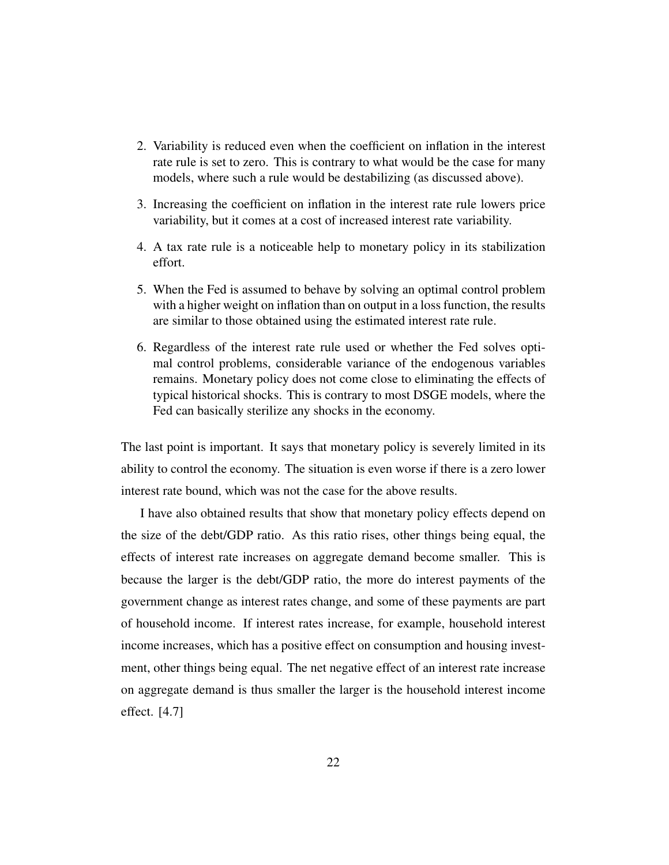- 2. Variability is reduced even when the coefficient on inflation in the interest rate rule is set to zero. This is contrary to what would be the case for many models, where such a rule would be destabilizing (as discussed above).
- 3. Increasing the coefficient on inflation in the interest rate rule lowers price variability, but it comes at a cost of increased interest rate variability.
- 4. A tax rate rule is a noticeable help to monetary policy in its stabilization effort.
- 5. When the Fed is assumed to behave by solving an optimal control problem with a higher weight on inflation than on output in a loss function, the results are similar to those obtained using the estimated interest rate rule.
- 6. Regardless of the interest rate rule used or whether the Fed solves optimal control problems, considerable variance of the endogenous variables remains. Monetary policy does not come close to eliminating the effects of typical historical shocks. This is contrary to most DSGE models, where the Fed can basically sterilize any shocks in the economy.

The last point is important. It says that monetary policy is severely limited in its ability to control the economy. The situation is even worse if there is a zero lower interest rate bound, which was not the case for the above results.

I have also obtained results that show that monetary policy effects depend on the size of the debt/GDP ratio. As this ratio rises, other things being equal, the effects of interest rate increases on aggregate demand become smaller. This is because the larger is the debt/GDP ratio, the more do interest payments of the government change as interest rates change, and some of these payments are part of household income. If interest rates increase, for example, household interest income increases, which has a positive effect on consumption and housing investment, other things being equal. The net negative effect of an interest rate increase on aggregate demand is thus smaller the larger is the household interest income effect. [4.7]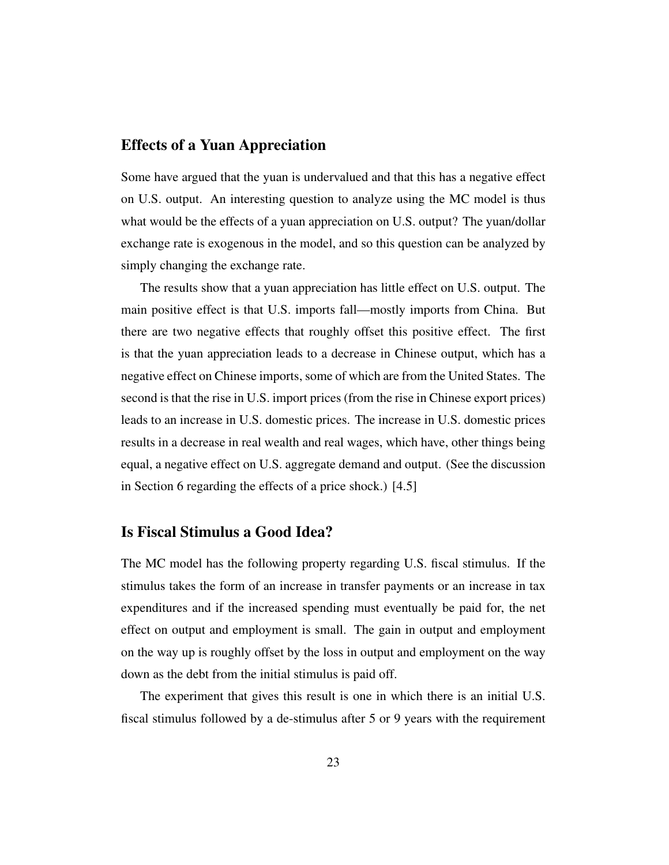### Effects of a Yuan Appreciation

Some have argued that the yuan is undervalued and that this has a negative effect on U.S. output. An interesting question to analyze using the MC model is thus what would be the effects of a yuan appreciation on U.S. output? The yuan/dollar exchange rate is exogenous in the model, and so this question can be analyzed by simply changing the exchange rate.

The results show that a yuan appreciation has little effect on U.S. output. The main positive effect is that U.S. imports fall—mostly imports from China. But there are two negative effects that roughly offset this positive effect. The first is that the yuan appreciation leads to a decrease in Chinese output, which has a negative effect on Chinese imports, some of which are from the United States. The second is that the rise in U.S. import prices (from the rise in Chinese export prices) leads to an increase in U.S. domestic prices. The increase in U.S. domestic prices results in a decrease in real wealth and real wages, which have, other things being equal, a negative effect on U.S. aggregate demand and output. (See the discussion in Section 6 regarding the effects of a price shock.) [4.5]

#### Is Fiscal Stimulus a Good Idea?

The MC model has the following property regarding U.S. fiscal stimulus. If the stimulus takes the form of an increase in transfer payments or an increase in tax expenditures and if the increased spending must eventually be paid for, the net effect on output and employment is small. The gain in output and employment on the way up is roughly offset by the loss in output and employment on the way down as the debt from the initial stimulus is paid off.

The experiment that gives this result is one in which there is an initial U.S. fiscal stimulus followed by a de-stimulus after 5 or 9 years with the requirement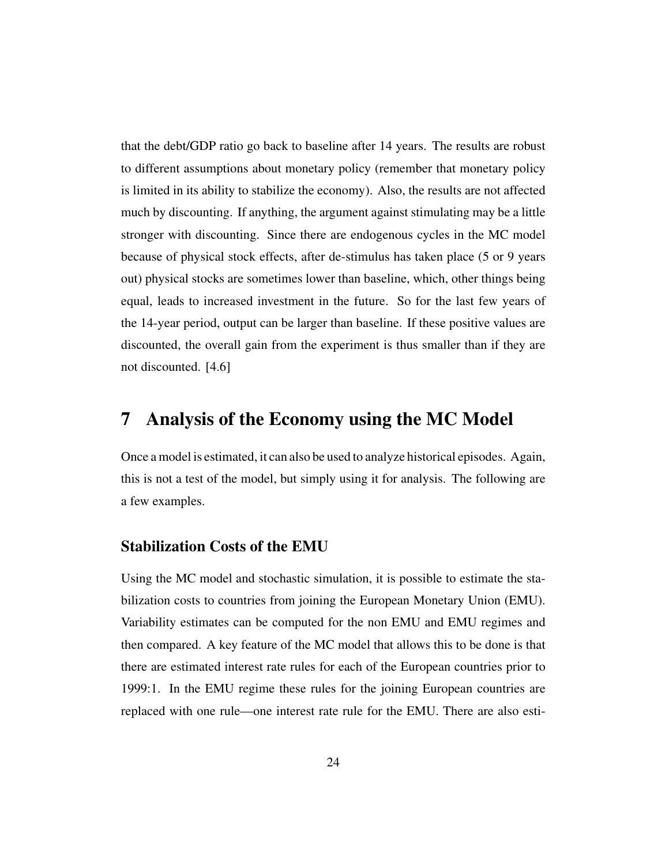that the debt/GDP ratio go back to baseline after 14 years. The results are robust to different assumptions about monetary policy (remember that monetary policy is limited in its ability to stabilize the economy). Also, the results are not affected much by discounting. If anything, the argument against stimulating may be a little stronger with discounting. Since there are endogenous cycles in the MC model because of physical stock effects, after de-stimulus has taken place (5 or 9 years out) physical stocks are sometimes lower than baseline, which, other things being equal, leads to increased investment in the future. So for the last few years of the 14-year period, output can be larger than baseline. If these positive values are discounted, the overall gain from the experiment is thus smaller than if they are not discounted. [4.6]

## 7 Analysis of the Economy using the MC Model

Once a model is estimated, it can also be used to analyze historical episodes. Again, this is not a test of the model, but simply using it for analysis. The following are a few examples.

#### Stabilization Costs of the EMU

Using the MC model and stochastic simulation, it is possible to estimate the stabilization costs to countries from joining the European Monetary Union (EMU). Variability estimates can be computed for the non EMU and EMU regimes and then compared. A key feature of the MC model that allows this to be done is that there are estimated interest rate rules for each of the European countries prior to 1999:1. In the EMU regime these rules for the joining European countries are replaced with one rule—one interest rate rule for the EMU. There are also esti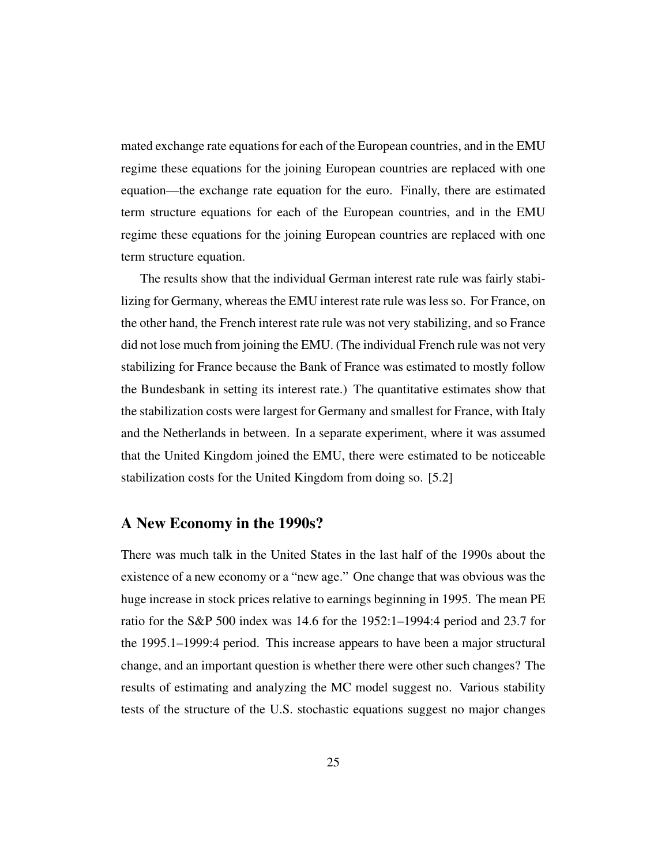mated exchange rate equations for each of the European countries, and in the EMU regime these equations for the joining European countries are replaced with one equation—the exchange rate equation for the euro. Finally, there are estimated term structure equations for each of the European countries, and in the EMU regime these equations for the joining European countries are replaced with one term structure equation.

The results show that the individual German interest rate rule was fairly stabilizing for Germany, whereas the EMU interest rate rule was less so. For France, on the other hand, the French interest rate rule was not very stabilizing, and so France did not lose much from joining the EMU. (The individual French rule was not very stabilizing for France because the Bank of France was estimated to mostly follow the Bundesbank in setting its interest rate.) The quantitative estimates show that the stabilization costs were largest for Germany and smallest for France, with Italy and the Netherlands in between. In a separate experiment, where it was assumed that the United Kingdom joined the EMU, there were estimated to be noticeable stabilization costs for the United Kingdom from doing so. [5.2]

#### A New Economy in the 1990s?

There was much talk in the United States in the last half of the 1990s about the existence of a new economy or a "new age." One change that was obvious was the huge increase in stock prices relative to earnings beginning in 1995. The mean PE ratio for the S&P 500 index was 14.6 for the 1952:1–1994:4 period and 23.7 for the 1995.1–1999:4 period. This increase appears to have been a major structural change, and an important question is whether there were other such changes? The results of estimating and analyzing the MC model suggest no. Various stability tests of the structure of the U.S. stochastic equations suggest no major changes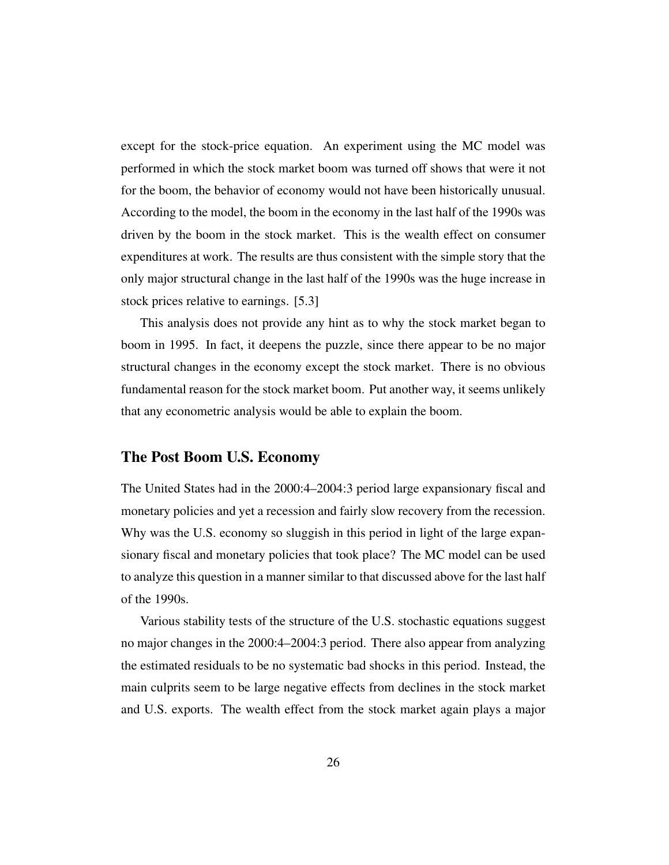except for the stock-price equation. An experiment using the MC model was performed in which the stock market boom was turned off shows that were it not for the boom, the behavior of economy would not have been historically unusual. According to the model, the boom in the economy in the last half of the 1990s was driven by the boom in the stock market. This is the wealth effect on consumer expenditures at work. The results are thus consistent with the simple story that the only major structural change in the last half of the 1990s was the huge increase in stock prices relative to earnings. [5.3]

This analysis does not provide any hint as to why the stock market began to boom in 1995. In fact, it deepens the puzzle, since there appear to be no major structural changes in the economy except the stock market. There is no obvious fundamental reason for the stock market boom. Put another way, it seems unlikely that any econometric analysis would be able to explain the boom.

#### The Post Boom U.S. Economy

The United States had in the 2000:4–2004:3 period large expansionary fiscal and monetary policies and yet a recession and fairly slow recovery from the recession. Why was the U.S. economy so sluggish in this period in light of the large expansionary fiscal and monetary policies that took place? The MC model can be used to analyze this question in a manner similar to that discussed above for the last half of the 1990s.

Various stability tests of the structure of the U.S. stochastic equations suggest no major changes in the 2000:4–2004:3 period. There also appear from analyzing the estimated residuals to be no systematic bad shocks in this period. Instead, the main culprits seem to be large negative effects from declines in the stock market and U.S. exports. The wealth effect from the stock market again plays a major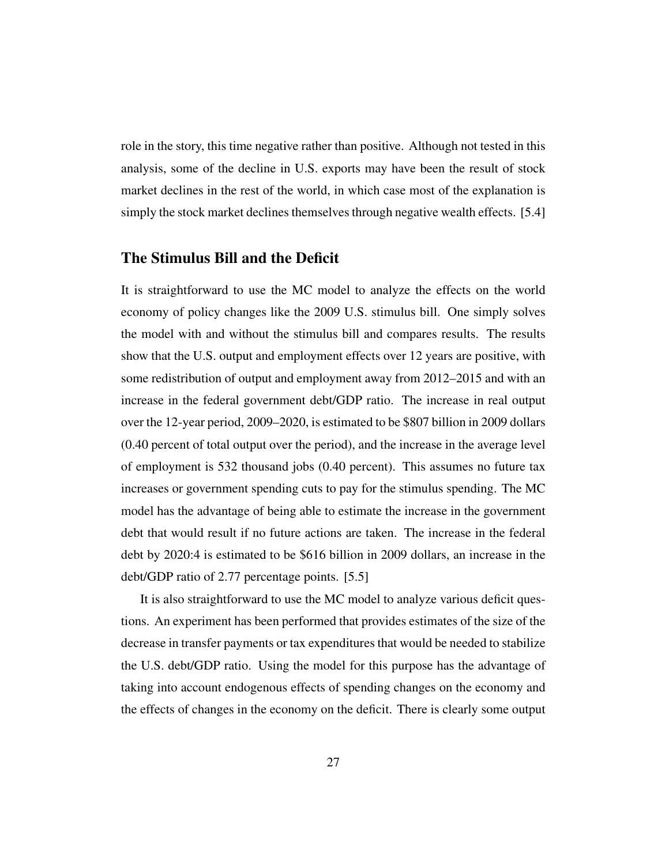role in the story, this time negative rather than positive. Although not tested in this analysis, some of the decline in U.S. exports may have been the result of stock market declines in the rest of the world, in which case most of the explanation is simply the stock market declines themselves through negative wealth effects. [5.4]

### The Stimulus Bill and the Deficit

It is straightforward to use the MC model to analyze the effects on the world economy of policy changes like the 2009 U.S. stimulus bill. One simply solves the model with and without the stimulus bill and compares results. The results show that the U.S. output and employment effects over 12 years are positive, with some redistribution of output and employment away from 2012–2015 and with an increase in the federal government debt/GDP ratio. The increase in real output over the 12-year period, 2009–2020, is estimated to be \$807 billion in 2009 dollars (0.40 percent of total output over the period), and the increase in the average level of employment is 532 thousand jobs (0.40 percent). This assumes no future tax increases or government spending cuts to pay for the stimulus spending. The MC model has the advantage of being able to estimate the increase in the government debt that would result if no future actions are taken. The increase in the federal debt by 2020:4 is estimated to be \$616 billion in 2009 dollars, an increase in the debt/GDP ratio of 2.77 percentage points. [5.5]

It is also straightforward to use the MC model to analyze various deficit questions. An experiment has been performed that provides estimates of the size of the decrease in transfer payments or tax expenditures that would be needed to stabilize the U.S. debt/GDP ratio. Using the model for this purpose has the advantage of taking into account endogenous effects of spending changes on the economy and the effects of changes in the economy on the deficit. There is clearly some output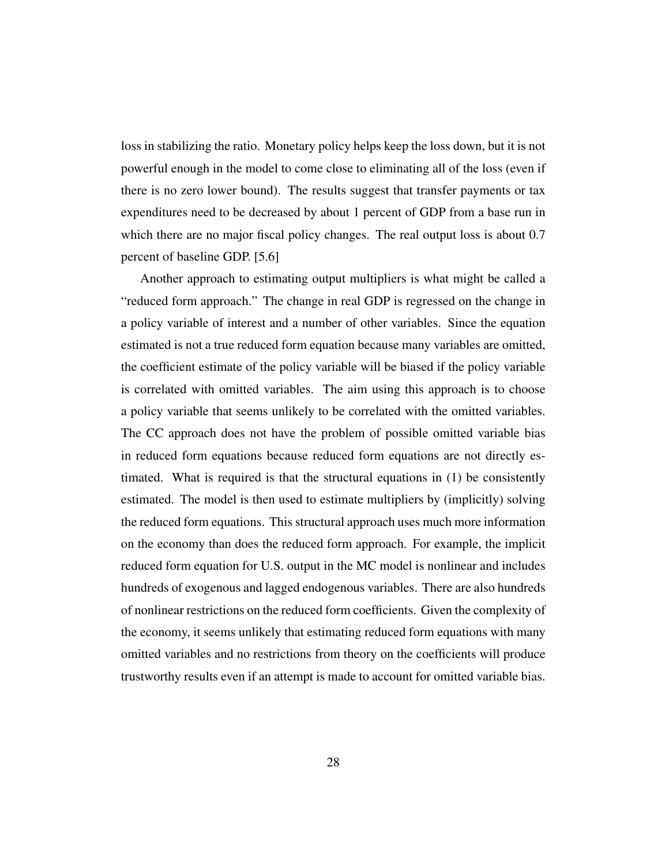loss in stabilizing the ratio. Monetary policy helps keep the loss down, but it is not powerful enough in the model to come close to eliminating all of the loss (even if there is no zero lower bound). The results suggest that transfer payments or tax expenditures need to be decreased by about 1 percent of GDP from a base run in which there are no major fiscal policy changes. The real output loss is about 0.7 percent of baseline GDP. [5.6]

Another approach to estimating output multipliers is what might be called a "reduced form approach." The change in real GDP is regressed on the change in a policy variable of interest and a number of other variables. Since the equation estimated is not a true reduced form equation because many variables are omitted, the coefficient estimate of the policy variable will be biased if the policy variable is correlated with omitted variables. The aim using this approach is to choose a policy variable that seems unlikely to be correlated with the omitted variables. The CC approach does not have the problem of possible omitted variable bias in reduced form equations because reduced form equations are not directly estimated. What is required is that the structural equations in (1) be consistently estimated. The model is then used to estimate multipliers by (implicitly) solving the reduced form equations. This structural approach uses much more information on the economy than does the reduced form approach. For example, the implicit reduced form equation for U.S. output in the MC model is nonlinear and includes hundreds of exogenous and lagged endogenous variables. There are also hundreds of nonlinear restrictions on the reduced form coefficients. Given the complexity of the economy, it seems unlikely that estimating reduced form equations with many omitted variables and no restrictions from theory on the coefficients will produce trustworthy results even if an attempt is made to account for omitted variable bias.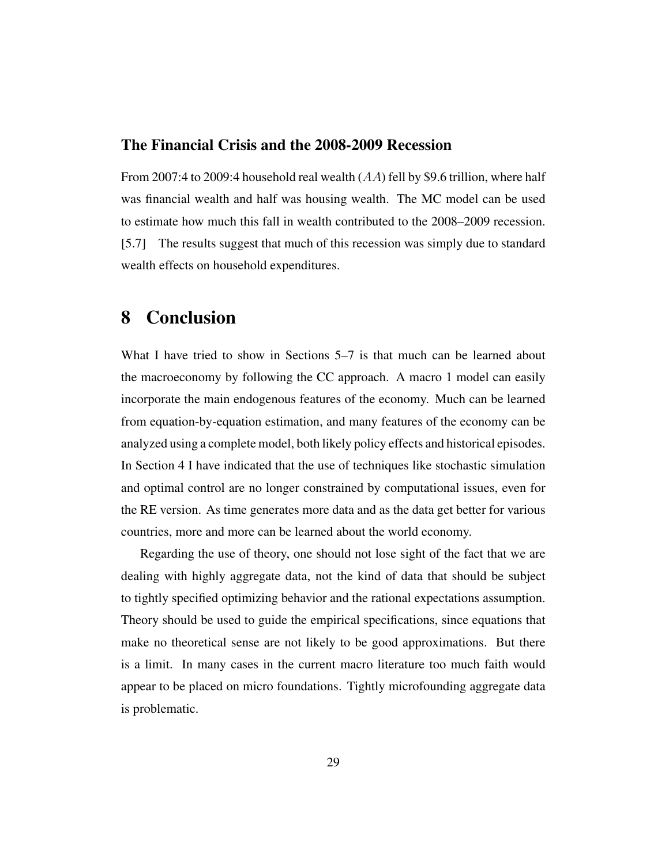### The Financial Crisis and the 2008-2009 Recession

From 2007:4 to 2009:4 household real wealth (AA) fell by \$9.6 trillion, where half was financial wealth and half was housing wealth. The MC model can be used to estimate how much this fall in wealth contributed to the 2008–2009 recession. [5.7] The results suggest that much of this recession was simply due to standard wealth effects on household expenditures.

### 8 Conclusion

What I have tried to show in Sections 5–7 is that much can be learned about the macroeconomy by following the CC approach. A macro 1 model can easily incorporate the main endogenous features of the economy. Much can be learned from equation-by-equation estimation, and many features of the economy can be analyzed using a complete model, both likely policy effects and historical episodes. In Section 4 I have indicated that the use of techniques like stochastic simulation and optimal control are no longer constrained by computational issues, even for the RE version. As time generates more data and as the data get better for various countries, more and more can be learned about the world economy.

Regarding the use of theory, one should not lose sight of the fact that we are dealing with highly aggregate data, not the kind of data that should be subject to tightly specified optimizing behavior and the rational expectations assumption. Theory should be used to guide the empirical specifications, since equations that make no theoretical sense are not likely to be good approximations. But there is a limit. In many cases in the current macro literature too much faith would appear to be placed on micro foundations. Tightly microfounding aggregate data is problematic.